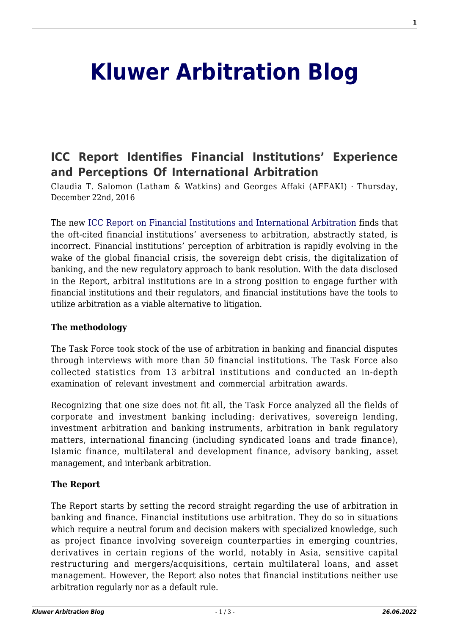# **[Kluwer Arbitration Blog](http://arbitrationblog.kluwerarbitration.com/)**

# **[ICC Report Identifies Financial Institutions' Experience](http://arbitrationblog.kluwerarbitration.com/2016/12/22/booked-icc-taskforce/) [and Perceptions Of International Arbitration](http://arbitrationblog.kluwerarbitration.com/2016/12/22/booked-icc-taskforce/)**

Claudia T. Salomon (Latham & Watkins) and Georges Affaki (AFFAKI) · Thursday, December 22nd, 2016

The new [ICC Report on Financial Institutions and International Arbitration](http://www.iccwbo.org/Advocacy-Codes-and-Rules/Document-centre/2016/Financial-Institutions-and-International-Arbitration-ICC-Arbitration-ADR-Commission-Report/) finds that the oft-cited financial institutions' averseness to arbitration, abstractly stated, is incorrect. Financial institutions' perception of arbitration is rapidly evolving in the wake of the global financial crisis, the sovereign debt crisis, the digitalization of banking, and the new regulatory approach to bank resolution. With the data disclosed in the Report, arbitral institutions are in a strong position to engage further with financial institutions and their regulators, and financial institutions have the tools to utilize arbitration as a viable alternative to litigation.

#### **The methodology**

The Task Force took stock of the use of arbitration in banking and financial disputes through interviews with more than 50 financial institutions. The Task Force also collected statistics from 13 arbitral institutions and conducted an in-depth examination of relevant investment and commercial arbitration awards.

Recognizing that one size does not fit all, the Task Force analyzed all the fields of corporate and investment banking including: derivatives, sovereign lending, investment arbitration and banking instruments, arbitration in bank regulatory matters, international financing (including syndicated loans and trade finance), Islamic finance, multilateral and development finance, advisory banking, asset management, and interbank arbitration.

## **The Report**

The Report starts by setting the record straight regarding the use of arbitration in banking and finance. Financial institutions use arbitration. They do so in situations which require a neutral forum and decision makers with specialized knowledge, such as project finance involving sovereign counterparties in emerging countries, derivatives in certain regions of the world, notably in Asia, sensitive capital restructuring and mergers/acquisitions, certain multilateral loans, and asset management. However, the Report also notes that financial institutions neither use arbitration regularly nor as a default rule.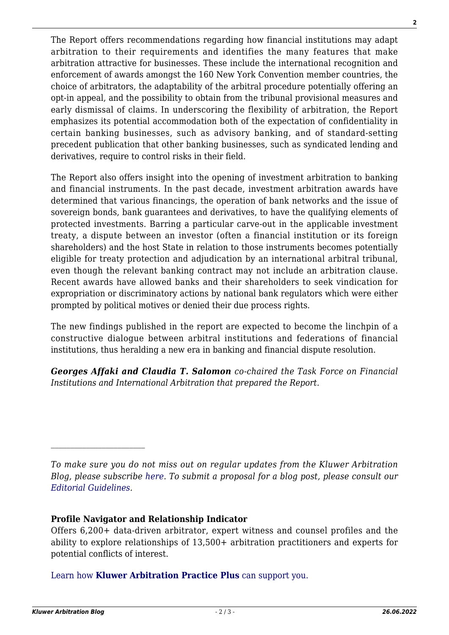The Report offers recommendations regarding how financial institutions may adapt arbitration to their requirements and identifies the many features that make arbitration attractive for businesses. These include the international recognition and enforcement of awards amongst the 160 New York Convention member countries, the choice of arbitrators, the adaptability of the arbitral procedure potentially offering an opt-in appeal, and the possibility to obtain from the tribunal provisional measures and early dismissal of claims. In underscoring the flexibility of arbitration, the Report emphasizes its potential accommodation both of the expectation of confidentiality in certain banking businesses, such as advisory banking, and of standard-setting precedent publication that other banking businesses, such as syndicated lending and derivatives, require to control risks in their field.

The Report also offers insight into the opening of investment arbitration to banking and financial instruments. In the past decade, investment arbitration awards have determined that various financings, the operation of bank networks and the issue of sovereign bonds, bank guarantees and derivatives, to have the qualifying elements of protected investments. Barring a particular carve-out in the applicable investment treaty, a dispute between an investor (often a financial institution or its foreign shareholders) and the host State in relation to those instruments becomes potentially eligible for treaty protection and adjudication by an international arbitral tribunal, even though the relevant banking contract may not include an arbitration clause. Recent awards have allowed banks and their shareholders to seek vindication for expropriation or discriminatory actions by national bank regulators which were either prompted by political motives or denied their due process rights.

The new findings published in the report are expected to become the linchpin of a constructive dialogue between arbitral institutions and federations of financial institutions, thus heralding a new era in banking and financial dispute resolution.

*Georges Affaki and Claudia T. Salomon co-chaired the Task Force on Financial Institutions and International Arbitration that prepared the Report.*

## **Profile Navigator and Relationship Indicator**

Offers 6,200+ data-driven arbitrator, expert witness and counsel profiles and the ability to explore relationships of 13,500+ arbitration practitioners and experts for potential conflicts of interest.

[Learn how](https://www.wolterskluwer.com/en/solutions/kluwerarbitration/practiceplus?utm_source=arbitrationblog&utm_medium=articleCTA&utm_campaign=article-banner) **[Kluwer Arbitration Practice Plus](https://www.wolterskluwer.com/en/solutions/kluwerarbitration/practiceplus?utm_source=arbitrationblog&utm_medium=articleCTA&utm_campaign=article-banner)** [can support you.](https://www.wolterskluwer.com/en/solutions/kluwerarbitration/practiceplus?utm_source=arbitrationblog&utm_medium=articleCTA&utm_campaign=article-banner)

 $\mathcal{L}_\text{max}$ 

*To make sure you do not miss out on regular updates from the Kluwer Arbitration Blog, please subscribe [here](http://arbitrationblog.kluwerarbitration.com/newsletter/). To submit a proposal for a blog post, please consult our [Editorial Guidelines.](http://arbitrationblog.kluwerarbitration.com/editorial-guidelines/)*